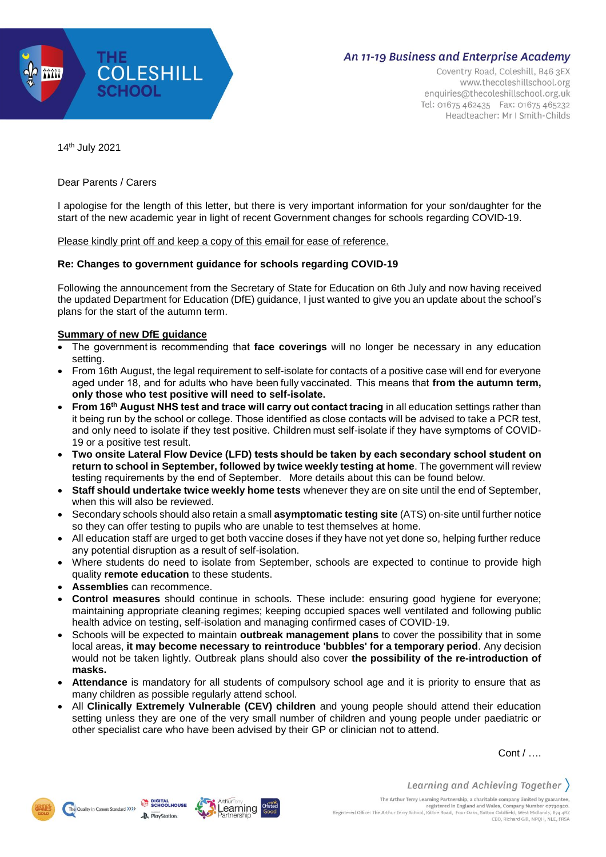

Coventry Road, Coleshill, B46 3EX www.thecoleshillschool.org enquiries@thecoleshillschool.org.uk Tel: 01675 462435 Fax: 01675 465232 Headteacher: Mr I Smith-Childs

14th July 2021

Dear Parents / Carers

I apologise for the length of this letter, but there is very important information for your son/daughter for the start of the new academic year in light of recent Government changes for schools regarding COVID-19.

Please kindly print off and keep a copy of this email for ease of reference.

### **Re: Changes to government guidance for schools regarding COVID-19**

Following the announcement from the Secretary of State for Education on 6th July and now having received the updated Department for Education (DfE) guidance, I just wanted to give you an update about the school's plans for the start of the autumn term.

## **Summary of new DfE guidance**

- The government is recommending that **face coverings** will no longer be necessary in any education setting.
- From 16th August, the legal requirement to self-isolate for contacts of a positive case will end for everyone aged under 18, and for adults who have been fully vaccinated.  This means that **from the autumn term, only those who test positive will need to self-isolate.**
- **From 16th August NHS test and trace will carry out contact tracing** in all education settings rather than it being run by the school or college. Those identified as close contacts will be advised to take a PCR test, and only need to isolate if they test positive. Children must self-isolate if they have symptoms of COVID-19 or a positive test result.
- **Two onsite Lateral Flow Device (LFD) tests should be taken by each secondary school student on return to school in September, followed by twice weekly testing at home**. The government will review testing requirements by the end of September.  More details about this can be found below.
- **Staff should undertake twice weekly home tests** whenever they are on site until the end of September, when this will also be reviewed.
- Secondary schools should also retain a small **asymptomatic testing site** (ATS) on-site until further notice so they can offer testing to pupils who are unable to test themselves at home.
- All education staff are urged to get both vaccine doses if they have not yet done so, helping further reduce any potential disruption as a result of self-isolation.
- Where students do need to isolate from September, schools are expected to continue to provide high quality **remote education** to these students.
- **Assemblies** can recommence.
- **Control measures** should continue in schools. These include: ensuring good hygiene for everyone; maintaining appropriate cleaning regimes; keeping occupied spaces well ventilated and following public health advice on testing, self-isolation and managing confirmed cases of COVID-19.
- Schools will be expected to maintain **outbreak management plans** to cover the possibility that in some local areas, **it may become necessary to reintroduce 'bubbles' for a temporary period**. Any decision would not be taken lightly. Outbreak plans should also cover **the possibility of the re-introduction of masks.**
- **Attendance** is mandatory for all students of compulsory school age and it is priority to ensure that as many children as possible regularly attend school.
- All **Clinically Extremely Vulnerable (CEV) children** and young people should attend their education setting unless they are one of the very small number of children and young people under paediatric or other specialist care who have been advised by their GP or clinician not to attend.

Cont / ….





Learning and Achieving Together  $\rangle$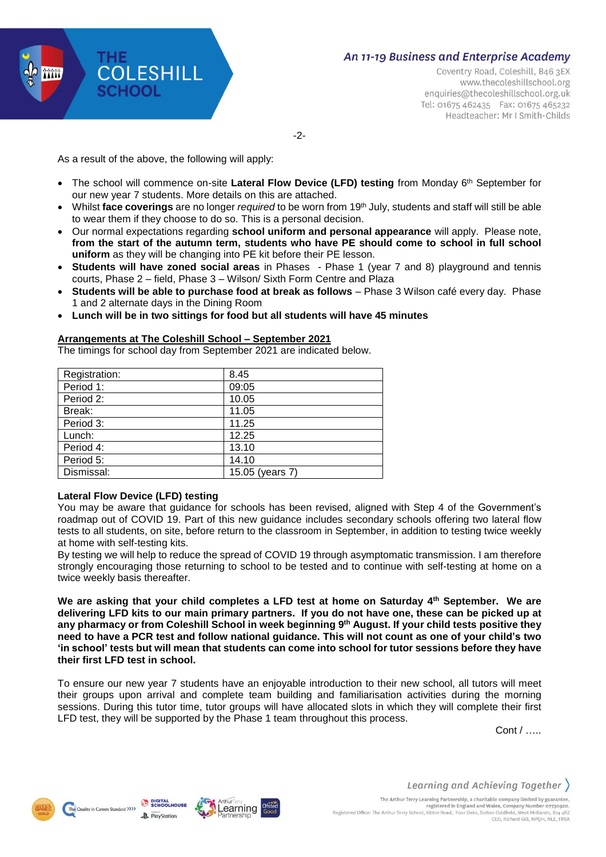

Coventry Road, Coleshill, B46 3EX www.thecoleshillschool.org enquiries@thecoleshillschool.org.uk Tel: 01675 462435 Fax: 01675 465232 Headteacher: Mr I Smith-Childs

-2-

As a result of the above, the following will apply:

- The school will commence on-site Lateral Flow Device (LFD) testing from Monday 6<sup>th</sup> September for our new year 7 students. More details on this are attached.
- Whilst **face coverings** are no longer *required* to be worn from 19th July, students and staff will still be able to wear them if they choose to do so. This is a personal decision.
- Our normal expectations regarding **school uniform and personal appearance** will apply. Please note, **from the start of the autumn term, students who have PE should come to school in full school uniform** as they will be changing into PE kit before their PE lesson.
- **Students will have zoned social areas** in Phases Phase 1 (year 7 and 8) playground and tennis courts, Phase 2 – field, Phase 3 – Wilson/ Sixth Form Centre and Plaza
- **Students will be able to purchase food at break as follows** Phase 3 Wilson café every day. Phase 1 and 2 alternate days in the Dining Room
- **Lunch will be in two sittings for food but all students will have 45 minutes**

### **Arrangements at The Coleshill School – September 2021**

The timings for school day from September 2021 are indicated below.

| Registration: | 8.45            |
|---------------|-----------------|
| Period 1:     | 09:05           |
| Period 2:     | 10.05           |
| Break:        | 11.05           |
| Period 3:     | 11.25           |
| Lunch:        | 12.25           |
| Period 4:     | 13.10           |
| Period 5:     | 14.10           |
| Dismissal:    | 15.05 (years 7) |

#### **Lateral Flow Device (LFD) testing**

You may be aware that guidance for schools has been revised, aligned with Step 4 of the Government's roadmap out of COVID 19. Part of this new guidance includes secondary schools offering two lateral flow tests to all students, on site, before return to the classroom in September, in addition to testing twice weekly at home with self-testing kits.

By testing we will help to reduce the spread of COVID 19 through asymptomatic transmission. I am therefore strongly encouraging those returning to school to be tested and to continue with self-testing at home on a twice weekly basis thereafter.

**We are asking that your child completes a LFD test at home on Saturday 4 th September. We are** delivering LFD kits to our main primary partners. If you do not have one, these can be picked up at any pharmacy or from Coleshill School in week beginning 9<sup>th</sup> August. If your child tests positive they need to have a PCR test and follow national guidance. This will not count as one of your child's two 'in school' tests but will mean that students can come into school for tutor sessions before they have **their first LFD test in school.**

To ensure our new year 7 students have an enjoyable introduction to their new school, all tutors will meet their groups upon arrival and complete team building and familiarisation activities during the morning sessions. During this tutor time, tutor groups will have allocated slots in which they will complete their first LFD test, they will be supported by the Phase 1 team throughout this process.

Cont / …..







Learning and Achieving Together The Arthur Terry Learning Partnership, a charitable company limited by guarantee,<br>registered in England and Wales, Company Number 07730920.<br>Registered Office: The Arthur Terry School, Kittoe Road, Four Oaks, Sutton Coldfie CEO, Richard Gill, NPOH, NLE, FRSA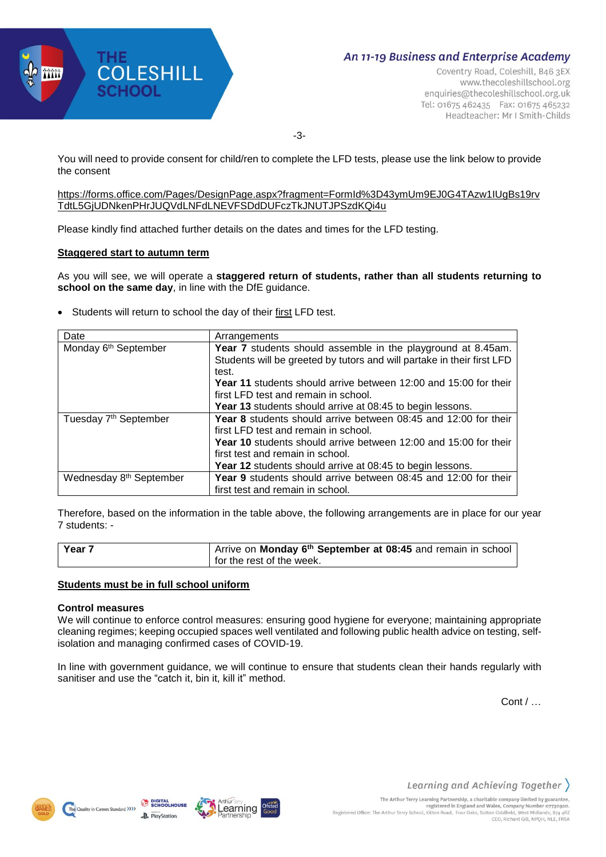

Coventry Road, Coleshill, B46 3EX www.thecoleshillschool.org enquiries@thecoleshillschool.org.uk Tel: 01675 462435 Fax: 01675 465232 Headteacher: Mr I Smith-Childs

-3-

You will need to provide consent for child/ren to complete the LFD tests, please use the link below to provide the consent

### [https://forms.office.com/Pages/DesignPage.aspx?fragment=FormId%3D43ymUm9EJ0G4TAzw1IUgBs19rv](https://forms.office.com/Pages/DesignPage.aspx?fragment=FormId%3D43ymUm9EJ0G4TAzw1IUgBs19rvTdtL5GjUDNkenPHrJUQVdLNFdLNEVFSDdDUFczTkJNUTJPSzdKQi4u) [TdtL5GjUDNkenPHrJUQVdLNFdLNEVFSDdDUFczTkJNUTJPSzdKQi4u](https://forms.office.com/Pages/DesignPage.aspx?fragment=FormId%3D43ymUm9EJ0G4TAzw1IUgBs19rvTdtL5GjUDNkenPHrJUQVdLNFdLNEVFSDdDUFczTkJNUTJPSzdKQi4u)

Please kindly find attached further details on the dates and times for the LFD testing.

### **Staggered start to autumn term**

As you will see, we will operate a **staggered return of students, rather than all students returning to school on the same day**, in line with the DfE guidance.

• Students will return to school the day of their first LFD test.

| Date                                | Arrangements                                                            |  |  |  |
|-------------------------------------|-------------------------------------------------------------------------|--|--|--|
| Monday 6 <sup>th</sup> September    | Year 7 students should assemble in the playground at 8.45am.            |  |  |  |
|                                     | Students will be greeted by tutors and will partake in their first LFD  |  |  |  |
|                                     | test.                                                                   |  |  |  |
|                                     | <b>Year 11</b> students should arrive between 12:00 and 15:00 for their |  |  |  |
|                                     | first LFD test and remain in school.                                    |  |  |  |
|                                     | Year 13 students should arrive at 08:45 to begin lessons.               |  |  |  |
| Tuesday 7 <sup>th</sup> September   | Year 8 students should arrive between 08:45 and 12:00 for their         |  |  |  |
|                                     | first LFD test and remain in school.                                    |  |  |  |
|                                     | <b>Year 10</b> students should arrive between 12:00 and 15:00 for their |  |  |  |
|                                     | first test and remain in school.                                        |  |  |  |
|                                     | Year 12 students should arrive at 08:45 to begin lessons.               |  |  |  |
| Wednesday 8 <sup>th</sup> September | Year 9 students should arrive between 08:45 and 12:00 for their         |  |  |  |
|                                     | first test and remain in school.                                        |  |  |  |

Therefore, based on the information in the table above, the following arrangements are in place for our year 7 students: -

| l Year 7 | Arrive on Monday 6 <sup>th</sup> September at 08:45 and remain in school |
|----------|--------------------------------------------------------------------------|
|          | for the rest of the week.                                                |

#### **Students must be in full school uniform**

#### **Control measures**

We will continue to enforce control measures: ensuring good hygiene for everyone; maintaining appropriate cleaning regimes; keeping occupied spaces well ventilated and following public health advice on testing, selfisolation and managing confirmed cases of COVID-19.

In line with government guidance, we will continue to ensure that students clean their hands regularly with sanitiser and use the "catch it, bin it, kill it" method.

Cont / …





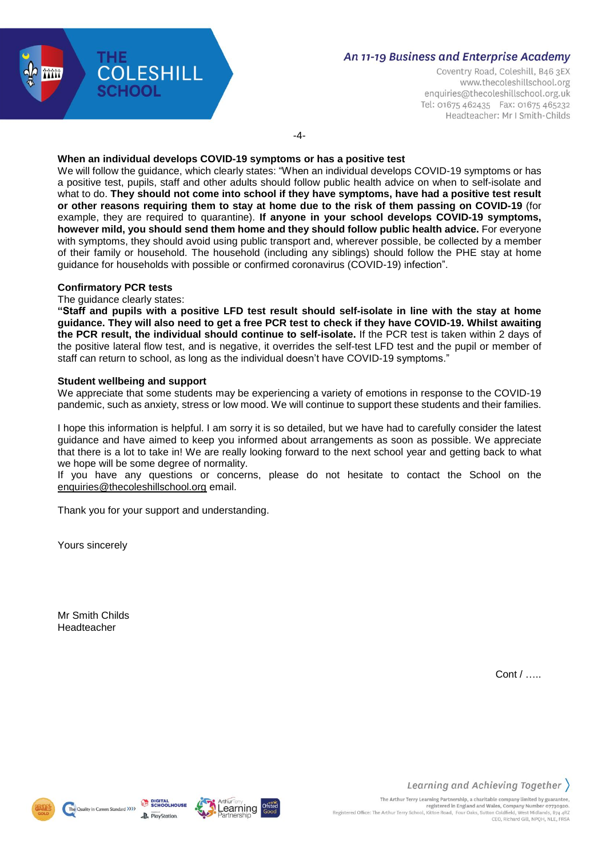

Coventry Road, Coleshill, B46 3EX www.thecoleshillschool.org enquiries@thecoleshillschool.org.uk Tel: 01675 462435 Fax: 01675 465232 Headteacher: Mr I Smith-Childs

-4-

### **When an individual develops COVID-19 symptoms or has a positive test**

We will follow the guidance, which clearly states: "When an individual develops COVID-19 symptoms or has a positive test, pupils, staff and other adults should follow public health advice on when to self-isolate and what to do. **They should not come into school if they have symptoms, have had a positive test result or other reasons requiring them to stay at home due to the risk of them passing on COVID-19** (for example, they are required to quarantine). **If anyone in your school develops COVID-19 symptoms, however mild, you should send them home and they should follow public health advice.** For everyone with symptoms, they should avoid using public transport and, wherever possible, be collected by a member of their family or household. The household (including any siblings) should follow the PHE stay at home guidance for households with possible or confirmed coronavirus (COVID-19) infection".

## **Confirmatory PCR tests**

#### The guidance clearly states:

"Staff and pupils with a positive LFD test result should self-isolate in line with the stay at home guidance. They will also need to get a free PCR test to check if they have COVID-19. Whilst awaiting **the PCR result, the individual should continue to self-isolate.** If the PCR test is taken within 2 days of the positive lateral flow test, and is negative, it overrides the self-test LFD test and the pupil or member of staff can return to school, as long as the individual doesn't have COVID-19 symptoms."

#### **Student wellbeing and support**

We appreciate that some students may be experiencing a variety of emotions in response to the COVID-19 pandemic, such as anxiety, stress or low mood. We will continue to support these students and their families.

I hope this information is helpful. I am sorry it is so detailed, but we have had to carefully consider the latest guidance and have aimed to keep you informed about arrangements as soon as possible. We appreciate that there is a lot to take in! We are really looking forward to the next school year and getting back to what we hope will be some degree of normality.

If you have any questions or concerns, please do not hesitate to contact the School on the [enquiries@thecoleshillschool.org](mailto:enquiries@thecoleshillschool.org) email.

Thank you for your support and understanding.

Yours sincerely

Mr Smith Childs Headteacher

Cont / …..







CEO, Richard Gill, NPOH, NLE, FRSA